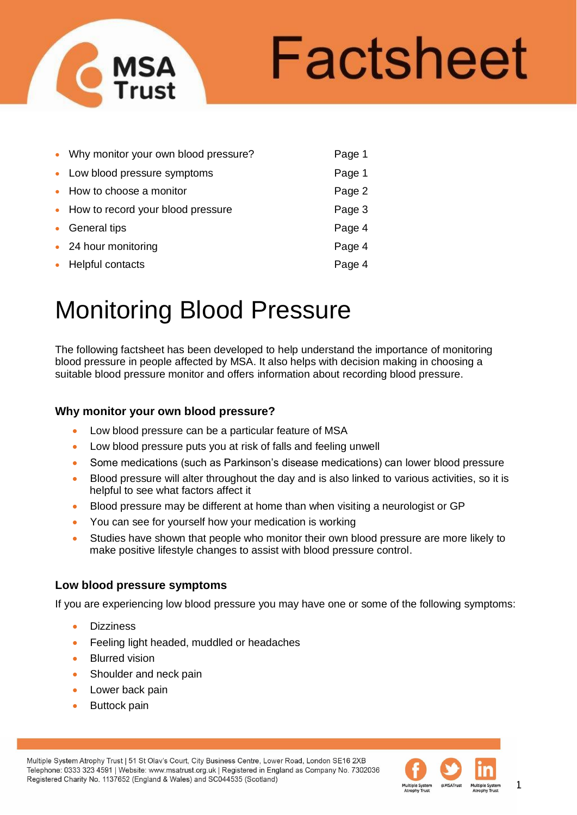

# Factsheet

| • Why monitor your own blood pressure? | Page 1 |
|----------------------------------------|--------|
| • Low blood pressure symptoms          | Page 1 |
| • How to choose a monitor              | Page 2 |
| • How to record your blood pressure    | Page 3 |
| • General tips                         | Page 4 |
| • 24 hour monitoring                   | Page 4 |
| • Helpful contacts                     | Page 4 |

# Monitoring Blood Pressure

The following factsheet has been developed to help understand the importance of monitoring blood pressure in people affected by MSA. It also helps with decision making in choosing a suitable blood pressure monitor and offers information about recording blood pressure.

# **Why monitor your own blood pressure?**

- Low blood pressure can be a particular feature of MSA
- Low blood pressure puts you at risk of falls and feeling unwell
- Some medications (such as Parkinson's disease medications) can lower blood pressure
- Blood pressure will alter throughout the day and is also linked to various activities, so it is helpful to see what factors affect it
- Blood pressure may be different at home than when visiting a neurologist or GP
- You can see for yourself how your medication is working
- Studies have shown that people who monitor their own blood pressure are more likely to make positive lifestyle changes to assist with blood pressure control.

# **Low blood pressure symptoms**

If you are experiencing low blood pressure you may have one or some of the following symptoms:

- **Dizziness**
- Feeling light headed, muddled or headaches
- Blurred vision
- Shoulder and neck pain
- Lower back pain
- Buttock pain



1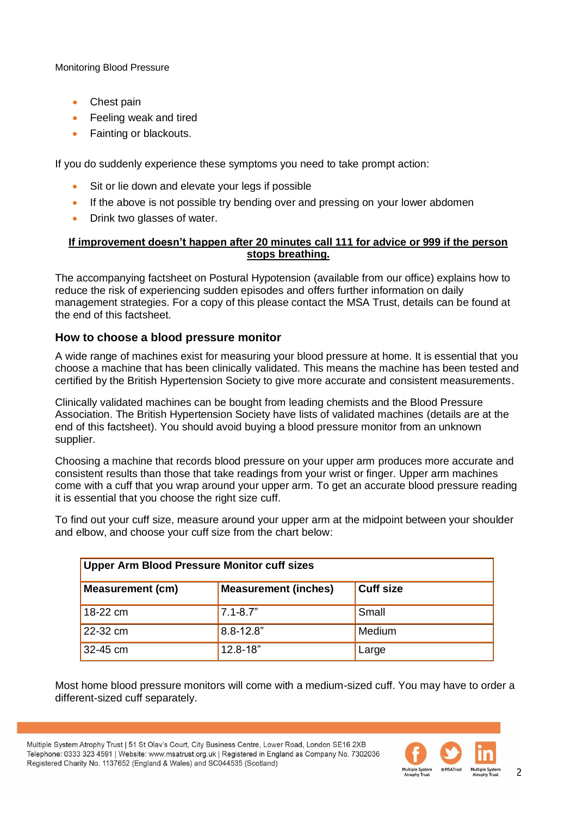- Chest pain
- Feeling weak and tired
- Fainting or blackouts.

If you do suddenly experience these symptoms you need to take prompt action:

- Sit or lie down and elevate your legs if possible
- If the above is not possible try bending over and pressing on your lower abdomen
- Drink two glasses of water.

#### **If improvement doesn't happen after 20 minutes call 111 for advice or 999 if the person stops breathing.**

The accompanying factsheet on Postural Hypotension (available from our office) explains how to reduce the risk of experiencing sudden episodes and offers further information on daily management strategies. For a copy of this please contact the MSA Trust, details can be found at the end of this factsheet.

#### **How to choose a blood pressure monitor**

A wide range of machines exist for measuring your blood pressure at home. It is essential that you choose a machine that has been clinically validated. This means the machine has been tested and certified by the British Hypertension Society to give more accurate and consistent measurements.

Clinically validated machines can be bought from leading chemists and the Blood Pressure Association. The British Hypertension Society have lists of validated machines (details are at the end of this factsheet). You should avoid buying a blood pressure monitor from an unknown supplier.

Choosing a machine that records blood pressure on your upper arm produces more accurate and consistent results than those that take readings from your wrist or finger. Upper arm machines come with a cuff that you wrap around your upper arm. To get an accurate blood pressure reading it is essential that you choose the right size cuff.

To find out your cuff size, measure around your upper arm at the midpoint between your shoulder and elbow, and choose your cuff size from the chart below:

| Upper Arm Blood Pressure Monitor cuff sizes |                             |                  |  |
|---------------------------------------------|-----------------------------|------------------|--|
| <b>Measurement (cm)</b>                     | <b>Measurement (inches)</b> | <b>Cuff size</b> |  |
| 18-22 cm                                    | $7.1 - 8.7"$                | Small            |  |
| 22-32 cm                                    | $8.8 - 12.8$ "              | Medium           |  |
| 32-45 cm                                    | 12.8-18"                    | Large            |  |

Most home blood pressure monitors will come with a medium-sized cuff. You may have to order a different-sized cuff separately.

Multiple System Atrophy Trust | 51 St Olav's Court, City Business Centre, Lower Road, London SE16 2XB Telephone: 0333 323 4591 | Website: www.msatrust.org.uk | Registered in England as Company No. 7302036 Registered Charity No. 1137652 (England & Wales) and SC044535 (Scotland)



2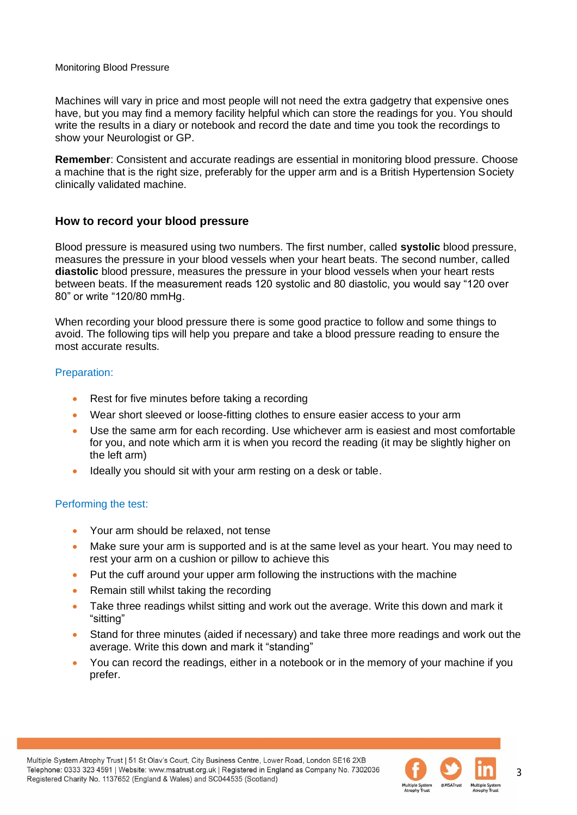Machines will vary in price and most people will not need the extra gadgetry that expensive ones have, but you may find a memory facility helpful which can store the readings for you. You should write the results in a diary or notebook and record the date and time you took the recordings to show your Neurologist or GP.

**Remember**: Consistent and accurate readings are essential in monitoring blood pressure. Choose a machine that is the right size, preferably for the upper arm and is a British Hypertension Society clinically validated machine.

## **How to record your blood pressure**

Blood pressure is measured using two numbers. The first number, called **systolic** blood pressure, measures the pressure in your blood vessels when your heart beats. The second number, called **diastolic** blood pressure, measures the pressure in your blood vessels when your heart rests between beats. If the measurement reads 120 systolic and 80 diastolic, you would say "120 over 80" or write "120/80 mmHg.

When recording your blood pressure there is some good practice to follow and some things to avoid. The following tips will help you prepare and take a blood pressure reading to ensure the most accurate results.

#### Preparation:

- Rest for five minutes before taking a recording
- Wear short sleeved or loose-fitting clothes to ensure easier access to your arm
- Use the same arm for each recording. Use whichever arm is easiest and most comfortable for you, and note which arm it is when you record the reading (it may be slightly higher on the left arm)
- Ideally you should sit with your arm resting on a desk or table.

## Performing the test:

- Your arm should be relaxed, not tense
- Make sure your arm is supported and is at the same level as your heart. You may need to rest your arm on a cushion or pillow to achieve this
- Put the cuff around your upper arm following the instructions with the machine
- Remain still whilst taking the recording
- Take three readings whilst sitting and work out the average. Write this down and mark it "sitting"
- Stand for three minutes (aided if necessary) and take three more readings and work out the average. Write this down and mark it "standing"
- You can record the readings, either in a notebook or in the memory of your machine if you prefer.

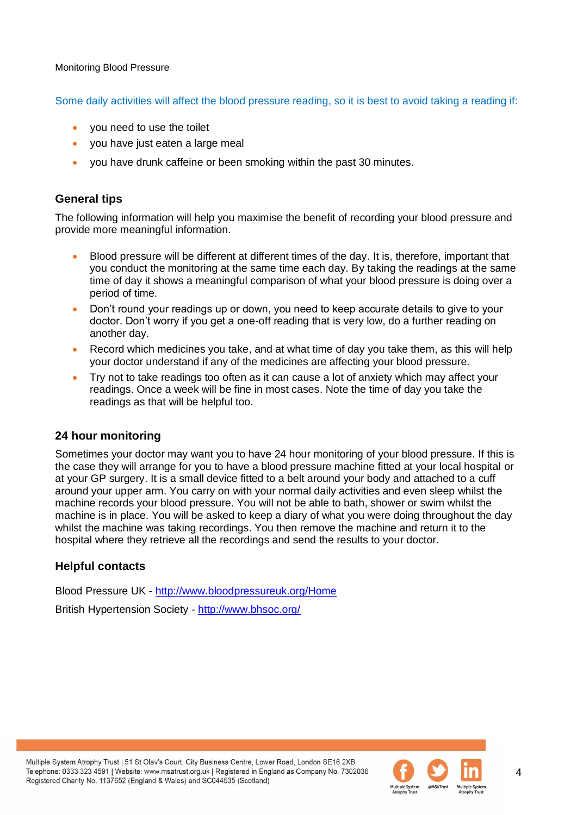Some daily activities will affect the blood pressure reading, so it is best to avoid taking a reading if:

- you need to use the toilet
- you have just eaten a large meal
- you have drunk caffeine or been smoking within the past 30 minutes.

# **General tips**

The following information will help you maximise the benefit of recording your blood pressure and provide more meaningful information.

- Blood pressure will be different at different times of the day. It is, therefore, important that you conduct the monitoring at the same time each day. By taking the readings at the same time of day it shows a meaningful comparison of what your blood pressure is doing over a period of time.
- Don't round your readings up or down, you need to keep accurate details to give to your doctor. Don't worry if you get a one-off reading that is very low, do a further reading on another day.
- Record which medicines you take, and at what time of day you take them, as this will help your doctor understand if any of the medicines are affecting your blood pressure.
- Try not to take readings too often as it can cause a lot of anxiety which may affect your readings. Once a week will be fine in most cases. Note the time of day you take the readings as that will be helpful too.

## **24 hour monitoring**

Sometimes your doctor may want you to have 24 hour monitoring of your blood pressure. If this is the case they will arrange for you to have a blood pressure machine fitted at your local hospital or at your GP surgery. It is a small device fitted to a belt around your body and attached to a cuff around your upper arm. You carry on with your normal daily activities and even sleep whilst the machine records your blood pressure. You will not be able to bath, shower or swim whilst the machine is in place. You will be asked to keep a diary of what you were doing throughout the day whilst the machine was taking recordings. You then remove the machine and return it to the hospital where they retrieve all the recordings and send the results to your doctor.

## **Helpful contacts**

Blood Pressure UK - <http://www.bloodpressureuk.org/Home> British Hypertension Society - <http://www.bhsoc.org/>